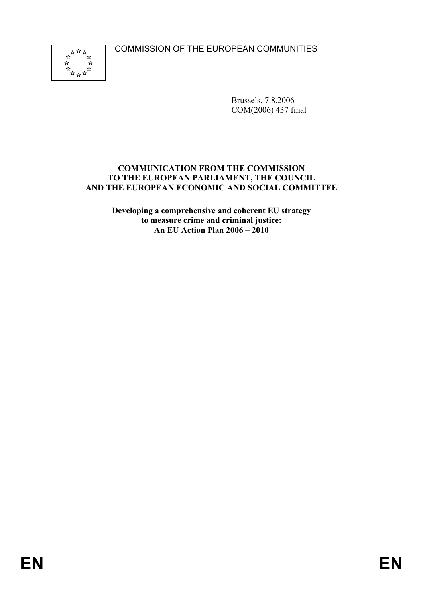COMMISSION OF THE EUROPEAN COMMUNITIES



Brussels, 7.8.2006 COM(2006) 437 final

### **COMMUNICATION FROM THE COMMISSION TO THE EUROPEAN PARLIAMENT, THE COUNCIL AND THE EUROPEAN ECONOMIC AND SOCIAL COMMITTEE**

**Developing a comprehensive and coherent EU strategy to measure crime and criminal justice: An EU Action Plan 2006 – 2010**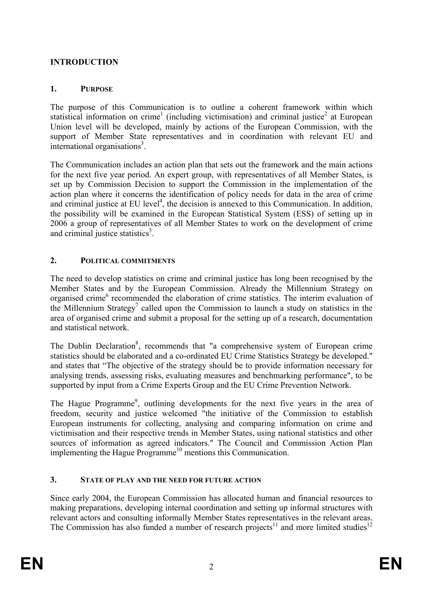# **INTRODUCTION**

# **1. PURPOSE**

The purpose of this Communication is to outline a coherent framework within which statistical information on crime<sup>1</sup> (including victimisation) and criminal justice<sup>2</sup> at European Union level will be developed, mainly by actions of the European Commission, with the support of Member State representatives and in coordination with relevant EU and international organisations<sup>3</sup>.

The Communication includes an action plan that sets out the framework and the main actions for the next five year period. An expert group, with representatives of all Member States, is set up by Commission Decision to support the Commission in the implementation of the action plan where it concerns the identification of policy needs for data in the area of crime and criminal justice at EU level<sup>4</sup>, the decision is annexed to this Communication. In addition, the possibility will be examined in the European Statistical System (ESS) of setting up in 2006 a group of representatives of all Member States to work on the development of crime and criminal justice statistics<sup>5</sup>.

# **2. POLITICAL COMMITMENTS**

The need to develop statistics on crime and criminal justice has long been recognised by the Member States and by the European Commission. Already the Millennium Strategy on organised crime<sup>6</sup> recommended the elaboration of crime statistics. The interim evaluation of the Millennium Strategy<sup>7</sup> called upon the Commission to launch a study on statistics in the area of organised crime and submit a proposal for the setting up of a research, documentation and statistical network.

The Dublin Declaration<sup>8</sup>, recommends that "a comprehensive system of European crime statistics should be elaborated and a co-ordinated EU Crime Statistics Strategy be developed." and states that "The objective of the strategy should be to provide information necessary for analysing trends, assessing risks, evaluating measures and benchmarking performance", to be supported by input from a Crime Experts Group and the EU Crime Prevention Network.

The Hague Programme<sup>9</sup>, outlining developments for the next five years in the area of freedom, security and justice welcomed "the initiative of the Commission to establish European instruments for collecting, analysing and comparing information on crime and victimisation and their respective trends in Member States, using national statistics and other sources of information as agreed indicators." The Council and Commission Action Plan implementing the Hague Programme<sup>10</sup> mentions this Communication.

### **3. STATE OF PLAY AND THE NEED FOR FUTURE ACTION**

Since early 2004, the European Commission has allocated human and financial resources to making preparations, developing internal coordination and setting up informal structures with relevant actors and consulting informally Member States representatives in the relevant areas. The Commission has also funded a number of research projects<sup>11</sup> and more limited studies<sup>12</sup>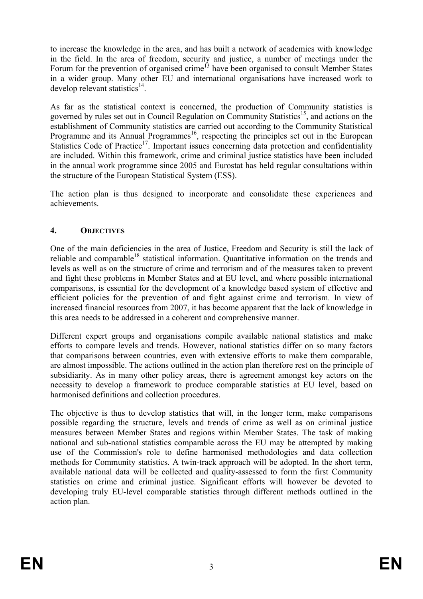to increase the knowledge in the area, and has built a network of academics with knowledge in the field. In the area of freedom, security and justice, a number of meetings under the Forum for the prevention of organised crime<sup>13</sup> have been organised to consult Member States in a wider group. Many other EU and international organisations have increased work to develop relevant statistics $^{14}$ .

As far as the statistical context is concerned, the production of Community statistics is governed by rules set out in Council Regulation on Community Statistics<sup>15</sup>, and actions on the establishment of Community statistics are carried out according to the Community Statistical Programme and its Annual Programmes<sup>16</sup>, respecting the principles set out in the European Statistics Code of Practice<sup>17</sup>. Important issues concerning data protection and confidentiality are included. Within this framework, crime and criminal justice statistics have been included in the annual work programme since 2005 and Eurostat has held regular consultations within the structure of the European Statistical System (ESS).

The action plan is thus designed to incorporate and consolidate these experiences and achievements.

# **4. OBJECTIVES**

One of the main deficiencies in the area of Justice, Freedom and Security is still the lack of reliable and comparable<sup>18</sup> statistical information. Quantitative information on the trends and levels as well as on the structure of crime and terrorism and of the measures taken to prevent and fight these problems in Member States and at EU level, and where possible international comparisons, is essential for the development of a knowledge based system of effective and efficient policies for the prevention of and fight against crime and terrorism. In view of increased financial resources from 2007, it has become apparent that the lack of knowledge in this area needs to be addressed in a coherent and comprehensive manner.

Different expert groups and organisations compile available national statistics and make efforts to compare levels and trends. However, national statistics differ on so many factors that comparisons between countries, even with extensive efforts to make them comparable, are almost impossible. The actions outlined in the action plan therefore rest on the principle of subsidiarity. As in many other policy areas, there is agreement amongst key actors on the necessity to develop a framework to produce comparable statistics at EU level, based on harmonised definitions and collection procedures.

The objective is thus to develop statistics that will, in the longer term, make comparisons possible regarding the structure, levels and trends of crime as well as on criminal justice measures between Member States and regions within Member States. The task of making national and sub-national statistics comparable across the EU may be attempted by making use of the Commission's role to define harmonised methodologies and data collection methods for Community statistics. A twin-track approach will be adopted. In the short term, available national data will be collected and quality-assessed to form the first Community statistics on crime and criminal justice. Significant efforts will however be devoted to developing truly EU-level comparable statistics through different methods outlined in the action plan.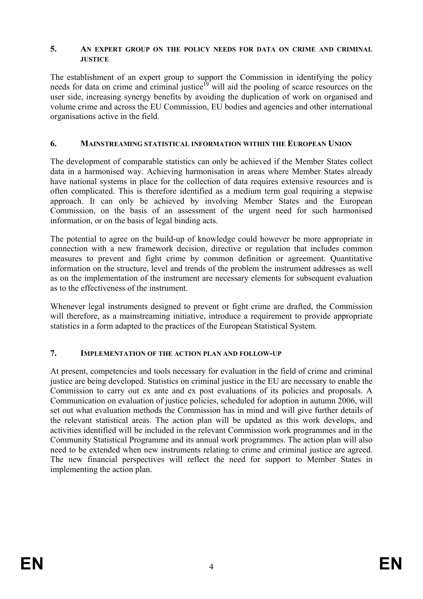#### **5. AN EXPERT GROUP ON THE POLICY NEEDS FOR DATA ON CRIME AND CRIMINAL JUSTICE**

The establishment of an expert group to support the Commission in identifying the policy needs for data on crime and criminal justice<sup>19</sup> will aid the pooling of scarce resources on the user side, increasing synergy benefits by avoiding the duplication of work on organised and volume crime and across the EU Commission, EU bodies and agencies and other international organisations active in the field.

### **6. MAINSTREAMING STATISTICAL INFORMATION WITHIN THE EUROPEAN UNION**

The development of comparable statistics can only be achieved if the Member States collect data in a harmonised way. Achieving harmonisation in areas where Member States already have national systems in place for the collection of data requires extensive resources and is often complicated. This is therefore identified as a medium term goal requiring a stepwise approach. It can only be achieved by involving Member States and the European Commission, on the basis of an assessment of the urgent need for such harmonised information, or on the basis of legal binding acts.

The potential to agree on the build-up of knowledge could however be more appropriate in connection with a new framework decision, directive or regulation that includes common measures to prevent and fight crime by common definition or agreement. Quantitative information on the structure, level and trends of the problem the instrument addresses as well as on the implementation of the instrument are necessary elements for subsequent evaluation as to the effectiveness of the instrument.

Whenever legal instruments designed to prevent or fight crime are drafted, the Commission will therefore, as a mainstreaming initiative, introduce a requirement to provide appropriate statistics in a form adapted to the practices of the European Statistical System.

### **7. IMPLEMENTATION OF THE ACTION PLAN AND FOLLOW-UP**

At present, competencies and tools necessary for evaluation in the field of crime and criminal justice are being developed. Statistics on criminal justice in the EU are necessary to enable the Commission to carry out ex ante and ex post evaluations of its policies and proposals. A Communication on evaluation of justice policies, scheduled for adoption in autumn 2006, will set out what evaluation methods the Commission has in mind and will give further details of the relevant statistical areas. The action plan will be updated as this work develops, and activities identified will be included in the relevant Commission work programmes and in the Community Statistical Programme and its annual work programmes. The action plan will also need to be extended when new instruments relating to crime and criminal justice are agreed. The new financial perspectives will reflect the need for support to Member States in implementing the action plan.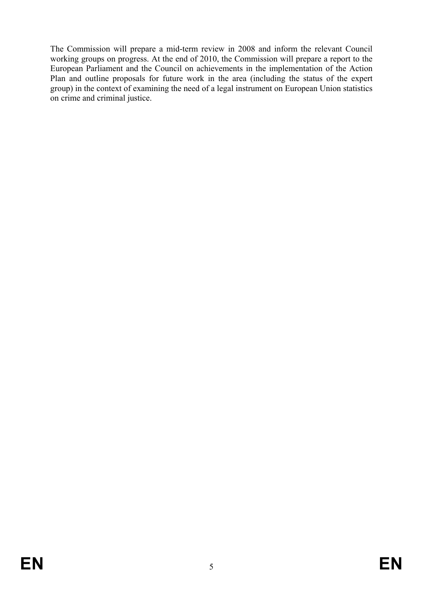The Commission will prepare a mid-term review in 2008 and inform the relevant Council working groups on progress. At the end of 2010, the Commission will prepare a report to the European Parliament and the Council on achievements in the implementation of the Action Plan and outline proposals for future work in the area (including the status of the expert group) in the context of examining the need of a legal instrument on European Union statistics on crime and criminal justice.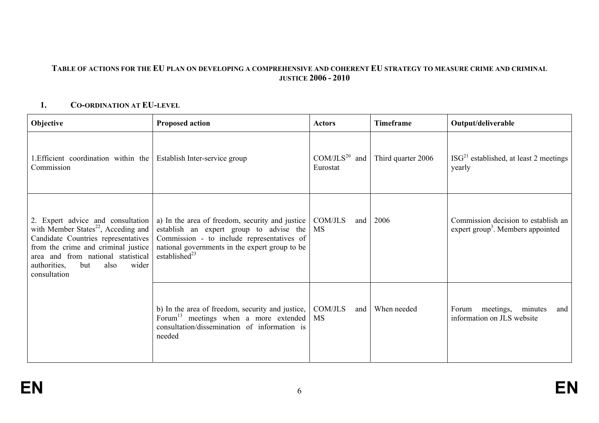#### **TABLE OF ACTIONS FOR THE EU PLAN ON DEVELOPING A COMPREHENSIVE AND COHERENT EU STRATEGY TO MEASURE CRIME AND CRIMINAL JUSTICE 2006 - 2010**

### **1. CO-ORDINATION AT EU-LEVEL**

| Objective                                                                                                                                                                                                                                                        | <b>Proposed action</b>                                                                                                                                                                                            | <b>Actors</b>                   | Timeframe          | Output/deliverable                                                                   |
|------------------------------------------------------------------------------------------------------------------------------------------------------------------------------------------------------------------------------------------------------------------|-------------------------------------------------------------------------------------------------------------------------------------------------------------------------------------------------------------------|---------------------------------|--------------------|--------------------------------------------------------------------------------------|
| 1. Efficient coordination within the<br>Commission                                                                                                                                                                                                               | Establish Inter-service group                                                                                                                                                                                     | $COM/ JLS^{20}$ and<br>Eurostat | Third quarter 2006 | $ISG21$ established, at least 2 meetings<br>yearly                                   |
| 2. Expert advice and consultation<br>with Member States <sup>22</sup> , Acceding and<br>Candidate Countries representatives<br>from the crime and criminal justice<br>area and from national statistical<br>authorities,<br>but<br>also<br>wider<br>consultation | a) In the area of freedom, security and justice<br>establish an expert group to advise the<br>Commission - to include representatives of<br>national governments in the expert group to be<br>established $^{23}$ | COM/JLS<br>and<br>MS            | 2006               | Commission decision to establish an<br>expert group <sup>3</sup> . Members appointed |
|                                                                                                                                                                                                                                                                  | b) In the area of freedom, security and justice,<br>Forum <sup>13</sup> meetings when a more extended<br>consultation/dissemination of information is<br>needed                                                   | COM/JLS<br>and<br><b>MS</b>     | When needed        | Forum meetings, minutes<br>and<br>information on JLS website                         |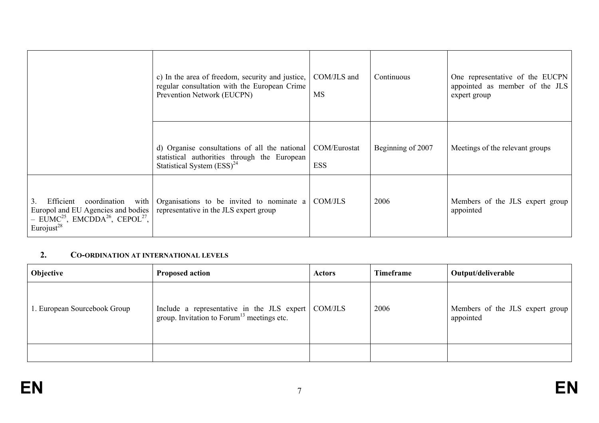|                                                                                                                                                                                              | c) In the area of freedom, security and justice,<br>regular consultation with the European Crime<br>Prevention Network (EUCPN)   | COM/JLS and<br><b>MS</b>   | Continuous        | One representative of the EUCPN<br>appointed as member of the JLS<br>expert group |
|----------------------------------------------------------------------------------------------------------------------------------------------------------------------------------------------|----------------------------------------------------------------------------------------------------------------------------------|----------------------------|-------------------|-----------------------------------------------------------------------------------|
|                                                                                                                                                                                              | d) Organise consultations of all the national<br>statistical authorities through the European<br>Statistical System $(ESS)^{24}$ | COM/Eurostat<br><b>ESS</b> | Beginning of 2007 | Meetings of the relevant groups                                                   |
| Efficient<br>3 <sub>1</sub><br>coordination<br>with<br>Europol and EU Agencies and bodies<br>$-$ EUMC <sup>25</sup> , EMCDDA <sup>26</sup> , CEPOL <sup>27</sup> ,<br>Eurojust <sup>28</sup> | Organisations to be invited to nominate a<br>representative in the JLS expert group                                              | COM/JLS                    | 2006              | Members of the JLS expert group<br>appointed                                      |

#### **2. CO-ORDINATION AT INTERNATIONAL LEVELS**

| <b>Objective</b>             | <b>Proposed action</b>                                                                                         | Actors | Timeframe | Output/deliverable                           |
|------------------------------|----------------------------------------------------------------------------------------------------------------|--------|-----------|----------------------------------------------|
| 1. European Sourcebook Group | Include a representative in the JLS expert   COM/JLS<br>group. Invitation to Forum <sup>13</sup> meetings etc. |        | 2006      | Members of the JLS expert group<br>appointed |
|                              |                                                                                                                |        |           |                                              |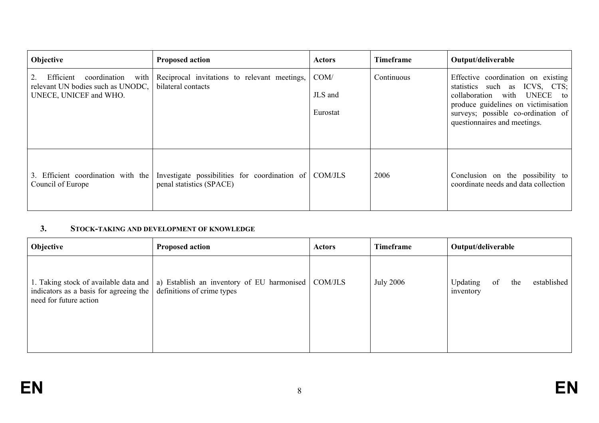| Objective                                                                                        | <b>Proposed action</b>                                                            | <b>Actors</b>               | <b>Timeframe</b> | Output/deliverable                                                                                                                                                                                              |
|--------------------------------------------------------------------------------------------------|-----------------------------------------------------------------------------------|-----------------------------|------------------|-----------------------------------------------------------------------------------------------------------------------------------------------------------------------------------------------------------------|
| Efficient<br>coordination<br>with<br>relevant UN bodies such as UNODC,<br>UNECE, UNICEF and WHO. | Reciprocal invitations to relevant meetings,<br>bilateral contacts                | COM/<br>JLS and<br>Eurostat | Continuous       | Effective coordination on existing<br>statistics such as ICVS, CTS;<br>collaboration with UNECE to<br>produce guidelines on victimisation<br>surveys; possible co-ordination of<br>questionnaires and meetings. |
| 3. Efficient coordination with the<br>Council of Europe                                          | Investigate possibilities for coordination of COM/JLS<br>penal statistics (SPACE) |                             | 2006             | Conclusion on the possibility to<br>coordinate needs and data collection                                                                                                                                        |

#### **3. STOCK-TAKING AND DEVELOPMENT OF KNOWLEDGE**

| Objective                                                                                           | <b>Proposed action</b>                                                                     | <b>Actors</b> | Timeframe        | Output/deliverable                                |
|-----------------------------------------------------------------------------------------------------|--------------------------------------------------------------------------------------------|---------------|------------------|---------------------------------------------------|
| indicators as a basis for agreeing the $\vert$ definitions of crime types<br>need for future action | 1. Taking stock of available data and   a) Establish an inventory of EU harmonised COM/JLS |               | <b>July 2006</b> | established<br>Updating<br>of<br>the<br>inventory |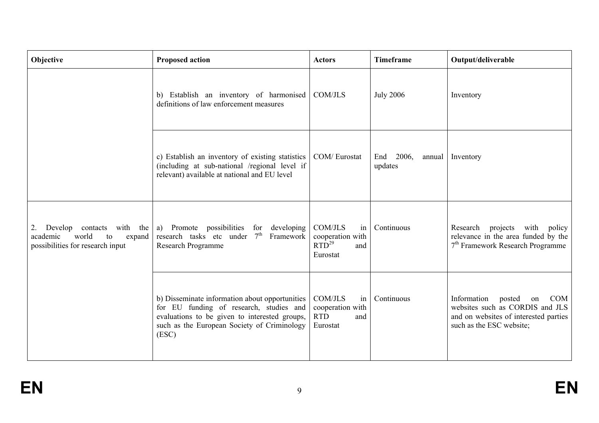| Objective                                                                                                   | <b>Proposed action</b>                                                                                                                                                                             | <b>Actors</b>                                                             | <b>Timeframe</b>                  | Output/deliverable                                                                                                                                |
|-------------------------------------------------------------------------------------------------------------|----------------------------------------------------------------------------------------------------------------------------------------------------------------------------------------------------|---------------------------------------------------------------------------|-----------------------------------|---------------------------------------------------------------------------------------------------------------------------------------------------|
|                                                                                                             | b) Establish an inventory of harmonised<br>definitions of law enforcement measures                                                                                                                 | COM/JLS                                                                   | <b>July 2006</b>                  | Inventory                                                                                                                                         |
|                                                                                                             | c) Establish an inventory of existing statistics<br>(including at sub-national /regional level if<br>relevant) available at national and EU level                                                  | COM/Eurostat                                                              | 2006,<br>End<br>annual<br>updates | Inventory                                                                                                                                         |
| Develop<br>contacts with the<br>2.<br>world<br>expand<br>academic<br>to<br>possibilities for research input | a) Promote possibilities for developing<br>research tasks etc under $7th$ Framework<br>Research Programme                                                                                          | <b>COM/JLS</b><br>in<br>cooperation with<br>$RTD^{29}$ and<br>Eurostat    | Continuous                        | projects<br>with<br>Research<br>policy<br>relevance in the area funded by the<br>7 <sup>th</sup> Framework Research Programme                     |
|                                                                                                             | b) Disseminate information about opportunities<br>for EU funding of research, studies and<br>evaluations to be given to interested groups,<br>such as the European Society of Criminology<br>(ESC) | <b>COM/JLS</b><br>in<br>cooperation with<br><b>RTD</b><br>and<br>Eurostat | Continuous                        | Information<br>posted<br><b>COM</b><br>on<br>websites such as CORDIS and JLS<br>and on websites of interested parties<br>such as the ESC website; |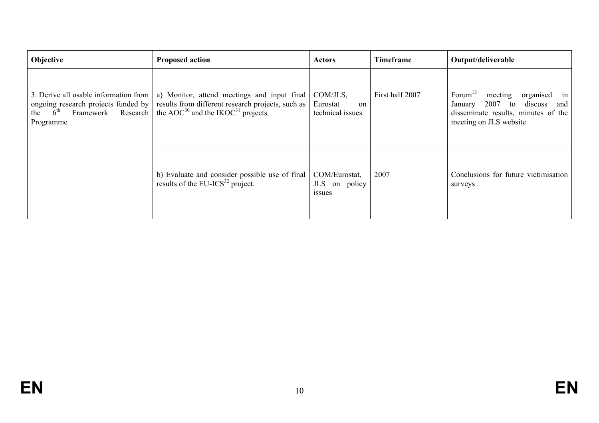| Objective                                                                                                                              | <b>Proposed action</b>                                                                                                                                         | <b>Actors</b>                                   | <b>Timeframe</b> | Output/deliverable                                                                                                                                      |
|----------------------------------------------------------------------------------------------------------------------------------------|----------------------------------------------------------------------------------------------------------------------------------------------------------------|-------------------------------------------------|------------------|---------------------------------------------------------------------------------------------------------------------------------------------------------|
| 3. Derive all usable information from<br>ongoing research projects funded by<br>the $6^{\text{th}}$<br>Framework Research<br>Programme | a) Monitor, attend meetings and input final<br>results from different research projects, such as<br>the AOC <sup>30</sup> and the IKOC <sup>31</sup> projects. | COM/JLS,<br>Eurostat<br>on<br>technical issues  | First half 2007  | Forum $^{13}$<br>meeting<br>organised<br>1n<br>discuss<br>2007<br>to<br>and<br>January<br>disseminate results, minutes of the<br>meeting on JLS website |
|                                                                                                                                        | b) Evaluate and consider possible use of final<br>results of the EU-ICS <sup>32</sup> project.                                                                 | COM/Eurostat,<br>JLS on policy<br><i>s</i> sues | 2007             | Conclusions for future victimisation<br>surveys                                                                                                         |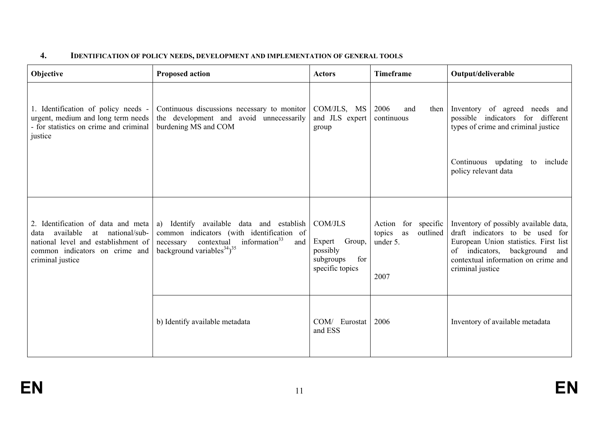### **4. IDENTIFICATION OF POLICY NEEDS, DEVELOPMENT AND IMPLEMENTATION OF GENERAL TOOLS**

| Objective                                                                                                                                                                | <b>Proposed action</b>                                                                                                                                                                              | <b>Actors</b>                                                               | <b>Timeframe</b>                                                    | Output/deliverable                                                                                                                                                                                                  |
|--------------------------------------------------------------------------------------------------------------------------------------------------------------------------|-----------------------------------------------------------------------------------------------------------------------------------------------------------------------------------------------------|-----------------------------------------------------------------------------|---------------------------------------------------------------------|---------------------------------------------------------------------------------------------------------------------------------------------------------------------------------------------------------------------|
| 1. Identification of policy needs -<br>urgent, medium and long term needs<br>- for statistics on crime and criminal<br>justice                                           | Continuous discussions necessary to monitor<br>the development and avoid unnecessarily<br>burdening MS and COM                                                                                      | COM/JLS, MS<br>and JLS expert<br>group                                      | 2006<br>and<br>then<br>continuous                                   | Inventory of agreed needs and<br>possible indicators for different<br>types of crime and criminal justice                                                                                                           |
|                                                                                                                                                                          |                                                                                                                                                                                                     |                                                                             |                                                                     | Continuous updating to<br>include<br>policy relevant data                                                                                                                                                           |
| 2. Identification of data and meta<br>available<br>at national/sub-<br>data<br>national level and establishment of<br>common indicators on crime and<br>criminal justice | a) Identify available data and establish<br>common indicators (with identification of<br>information $33$<br>contextual<br>necessary<br>and  <br>background variables <sup>34</sup> ) <sup>35</sup> | COM/JLS<br>Expert Group,<br>possibly<br>for<br>subgroups<br>specific topics | Action for specific<br>as<br>outlined<br>topics<br>under 5.<br>2007 | Inventory of possibly available data,<br>draft indicators to be used for<br>European Union statistics. First list<br>indicators, background<br>of<br>and<br>contextual information on crime and<br>criminal justice |
|                                                                                                                                                                          | b) Identify available metadata                                                                                                                                                                      | COM/ Eurostat<br>and ESS                                                    | 2006                                                                | Inventory of available metadata                                                                                                                                                                                     |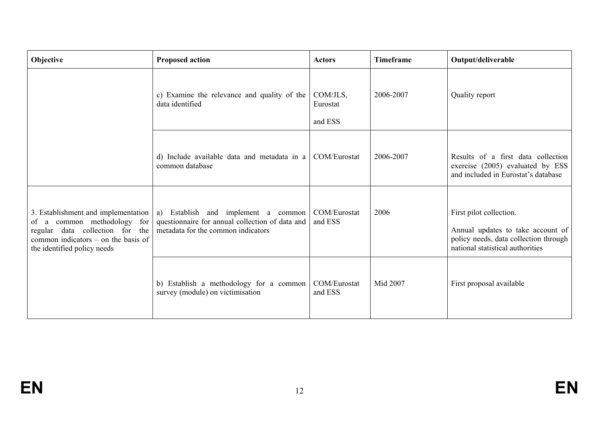| Objective                                                                                                                                                                     | <b>Proposed action</b>                                                                                                          | <b>Actors</b>                   | <b>Timeframe</b> | Output/deliverable                                                                                                                        |
|-------------------------------------------------------------------------------------------------------------------------------------------------------------------------------|---------------------------------------------------------------------------------------------------------------------------------|---------------------------------|------------------|-------------------------------------------------------------------------------------------------------------------------------------------|
|                                                                                                                                                                               | c) Examine the relevance and quality of the<br>data identified                                                                  | COM/JLS,<br>Eurostat<br>and ESS | 2006-2007        | Quality report                                                                                                                            |
|                                                                                                                                                                               | d) Include available data and metadata in a<br>common database                                                                  | COM/Eurostat                    | 2006-2007        | Results of a first data collection<br>exercise (2005) evaluated by ESS<br>and included in Eurostat's database                             |
| 3. Establishment and implementation<br>of a common methodology for<br>regular data collection for the<br>common indicators $-$ on the basis of<br>the identified policy needs | Establish and implement a common<br>a)<br>questionnaire for annual collection of data and<br>metadata for the common indicators | COM/Eurostat<br>and ESS         | 2006             | First pilot collection.<br>Annual updates to take account of<br>policy needs, data collection through<br>national statistical authorities |
|                                                                                                                                                                               | b) Establish a methodology for a common<br>survey (module) on victimisation                                                     | COM/Eurostat<br>and ESS         | Mid 2007         | First proposal available                                                                                                                  |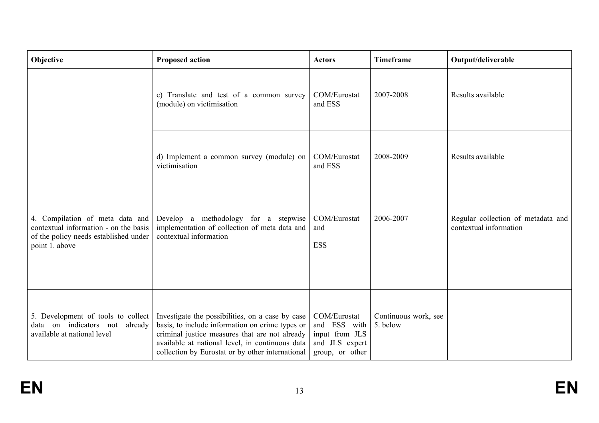| Objective                                                                                                                           | <b>Proposed action</b>                                                                                                                                                                                                                                       | <b>Actors</b>                                                                       | <b>Timeframe</b>                 | Output/deliverable                                           |
|-------------------------------------------------------------------------------------------------------------------------------------|--------------------------------------------------------------------------------------------------------------------------------------------------------------------------------------------------------------------------------------------------------------|-------------------------------------------------------------------------------------|----------------------------------|--------------------------------------------------------------|
|                                                                                                                                     | c) Translate and test of a common survey<br>(module) on victimisation                                                                                                                                                                                        | COM/Eurostat<br>and ESS                                                             | 2007-2008                        | Results available                                            |
|                                                                                                                                     | d) Implement a common survey (module) on<br>victimisation                                                                                                                                                                                                    | COM/Eurostat<br>and ESS                                                             | 2008-2009                        | Results available                                            |
| 4. Compilation of meta data and<br>contextual information - on the basis<br>of the policy needs established under<br>point 1. above | Develop a methodology for a stepwise<br>implementation of collection of meta data and<br>contextual information                                                                                                                                              | COM/Eurostat<br>and<br><b>ESS</b>                                                   | 2006-2007                        | Regular collection of metadata and<br>contextual information |
| 5. Development of tools to collect<br>data on indicators not<br>already<br>available at national level                              | Investigate the possibilities, on a case by case<br>basis, to include information on crime types or<br>criminal justice measures that are not already<br>available at national level, in continuous data<br>collection by Eurostat or by other international | COM/Eurostat<br>and ESS with<br>input from JLS<br>and JLS expert<br>group, or other | Continuous work, see<br>5. below |                                                              |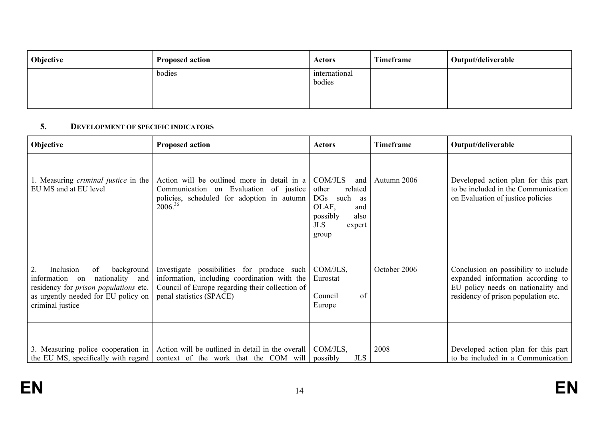| <b>Objective</b> | <b>Proposed action</b> | <b>Actors</b>           | Timeframe | Output/deliverable |
|------------------|------------------------|-------------------------|-----------|--------------------|
|                  | bodies                 | international<br>bodies |           |                    |

#### **5. DEVELOPMENT OF SPECIFIC INDICATORS**

| Objective                                                                                                                                                                          | <b>Proposed action</b>                                                                                                                                                    | <b>Actors</b>                                                                                                                                    | Timeframe    | Output/deliverable                                                                                                                                     |
|------------------------------------------------------------------------------------------------------------------------------------------------------------------------------------|---------------------------------------------------------------------------------------------------------------------------------------------------------------------------|--------------------------------------------------------------------------------------------------------------------------------------------------|--------------|--------------------------------------------------------------------------------------------------------------------------------------------------------|
| 1. Measuring <i>criminal justice</i> in the<br>EU MS and at EU level                                                                                                               | Action will be outlined more in detail in a<br>Communication on Evaluation of justice<br>policies, scheduled for adoption in autumn<br>$2006^{36}$                        | COM/JLS<br>and<br>related<br>other<br>$\overline{\text{DGs}}$<br>such<br>as<br>OLAF,<br>and<br>possibly<br>also<br><b>JLS</b><br>expert<br>group | Autumn 2006  | Developed action plan for this part<br>to be included in the Communication<br>on Evaluation of justice policies                                        |
| background<br>2.<br>Inclusion<br>of<br>nationality<br>information<br>and<br>on<br>residency for prison populations etc.<br>as urgently needed for EU policy on<br>criminal justice | Investigate possibilities for produce such<br>information, including coordination with the<br>Council of Europe regarding their collection of<br>penal statistics (SPACE) | COM/JLS,<br>Eurostat<br>Council<br>of<br>Europe                                                                                                  | October 2006 | Conclusion on possibility to include<br>expanded information according to<br>EU policy needs on nationality and<br>residency of prison population etc. |
| 3. Measuring police cooperation in<br>the EU MS, specifically with regard                                                                                                          | Action will be outlined in detail in the overall  <br>context of the work that the COM will                                                                               | COM/JLS,<br><b>JLS</b><br>possibly                                                                                                               | 2008         | Developed action plan for this part<br>to be included in a Communication                                                                               |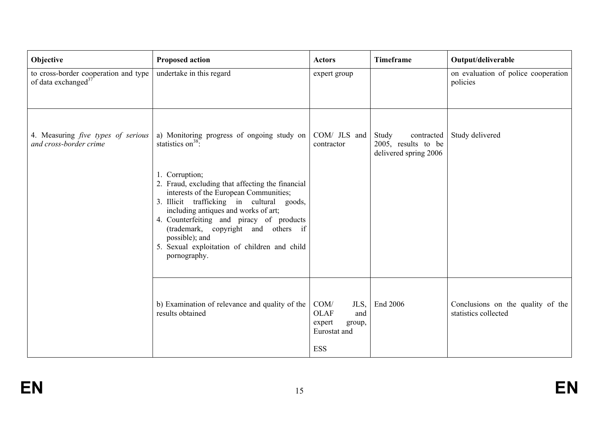| Objective                                                               | <b>Proposed action</b>                                                                                                                                                                                                                                                                                                                                                                                                                          | <b>Actors</b>                                                                        | <b>Timeframe</b>                                                    | Output/deliverable                                        |
|-------------------------------------------------------------------------|-------------------------------------------------------------------------------------------------------------------------------------------------------------------------------------------------------------------------------------------------------------------------------------------------------------------------------------------------------------------------------------------------------------------------------------------------|--------------------------------------------------------------------------------------|---------------------------------------------------------------------|-----------------------------------------------------------|
| to cross-border cooperation and type<br>of data exchanged <sup>37</sup> | undertake in this regard                                                                                                                                                                                                                                                                                                                                                                                                                        | expert group                                                                         |                                                                     | on evaluation of police cooperation<br>policies           |
| 4. Measuring <i>five types of serious</i><br>and cross-border crime     | a) Monitoring progress of ongoing study on<br>statistics on $^{38}$ .<br>1. Corruption;<br>2. Fraud, excluding that affecting the financial<br>interests of the European Communities;<br>3. Illicit trafficking in cultural goods,<br>including antiques and works of art;<br>4. Counterfeiting and piracy of products<br>(trademark, copyright and others if<br>possible); and<br>5. Sexual exploitation of children and child<br>pornography. | COM/ JLS and<br>contractor                                                           | Study<br>contracted<br>2005, results to be<br>delivered spring 2006 | Study delivered                                           |
|                                                                         | b) Examination of relevance and quality of the<br>results obtained                                                                                                                                                                                                                                                                                                                                                                              | COM/<br>JLS,<br><b>OLAF</b><br>and<br>expert<br>group,<br>Eurostat and<br><b>ESS</b> | End 2006                                                            | Conclusions on the quality of the<br>statistics collected |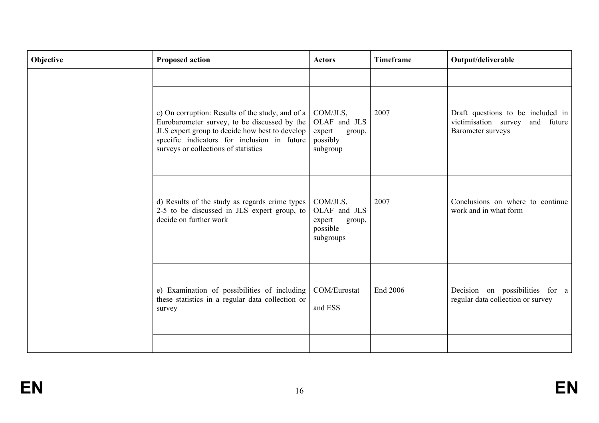| Objective | <b>Proposed action</b>                                                                                                                                                                                                                    | <b>Actors</b>                                                         | <b>Timeframe</b> | Output/deliverable                                                                           |
|-----------|-------------------------------------------------------------------------------------------------------------------------------------------------------------------------------------------------------------------------------------------|-----------------------------------------------------------------------|------------------|----------------------------------------------------------------------------------------------|
|           | c) On corruption: Results of the study, and of a<br>Eurobarometer survey, to be discussed by the<br>JLS expert group to decide how best to develop<br>specific indicators for inclusion in future<br>surveys or collections of statistics | COM/JLS,<br>OLAF and JLS<br>expert<br>group,<br>possibly<br>subgroup  | 2007             | Draft questions to be included in<br>victimisation survey<br>and future<br>Barometer surveys |
|           | d) Results of the study as regards crime types<br>2-5 to be discussed in JLS expert group, to<br>decide on further work                                                                                                                   | COM/JLS,<br>OLAF and JLS<br>expert<br>group,<br>possible<br>subgroups | 2007             | Conclusions on where to continue<br>work and in what form                                    |
|           | e) Examination of possibilities of including<br>these statistics in a regular data collection or<br>survey                                                                                                                                | COM/Eurostat<br>and ESS                                               | End 2006         | Decision on possibilities for a<br>regular data collection or survey                         |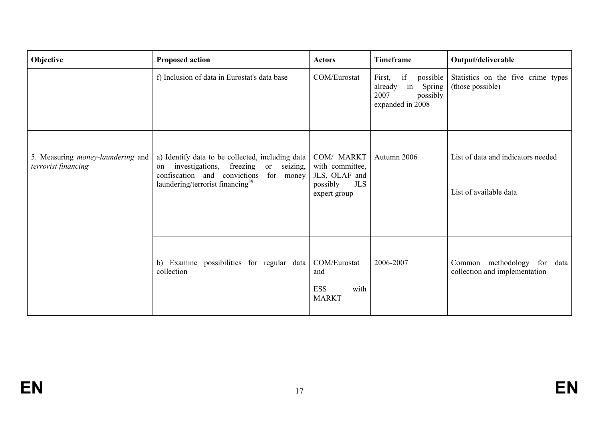| Objective                                                | <b>Proposed action</b>                                                                                                                                                                            | <b>Actors</b>                                                                            | <b>Timeframe</b>                                                                                           | Output/deliverable                                                 |
|----------------------------------------------------------|---------------------------------------------------------------------------------------------------------------------------------------------------------------------------------------------------|------------------------------------------------------------------------------------------|------------------------------------------------------------------------------------------------------------|--------------------------------------------------------------------|
|                                                          | f) Inclusion of data in Eurostat's data base                                                                                                                                                      | COM/Eurostat                                                                             | if<br>possible<br>First,<br>already in Spring<br>2007<br>possibly<br>$\qquad \qquad -$<br>expanded in 2008 | Statistics on the five crime types<br>(those possible)             |
| 5. Measuring money-laundering and<br>terrorist financing | a) Identify data to be collected, including data<br>investigations, freezing<br>or<br>seizing,<br>on<br>confiscation and convictions<br>for money<br>laundering/terrorist financing <sup>39</sup> | COM/ MARKT<br>with committee,<br>JLS, OLAF and<br><b>JLS</b><br>possibly<br>expert group | Autumn 2006                                                                                                | List of data and indicators needed<br>List of available data       |
|                                                          | b) Examine possibilities for regular data<br>collection                                                                                                                                           | COM/Eurostat<br>and<br><b>ESS</b><br>with<br><b>MARKT</b>                                | 2006-2007                                                                                                  | Common methodology<br>for<br>data<br>collection and implementation |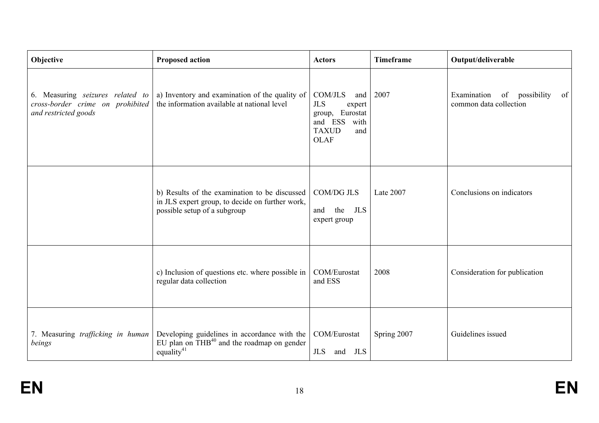| Objective                                                                                    | <b>Proposed action</b>                                                                                                           | <b>Actors</b>                                                                                                             | <b>Timeframe</b> | Output/deliverable                                         |
|----------------------------------------------------------------------------------------------|----------------------------------------------------------------------------------------------------------------------------------|---------------------------------------------------------------------------------------------------------------------------|------------------|------------------------------------------------------------|
| 6. Measuring seizures related to<br>cross-border crime on prohibited<br>and restricted goods | a) Inventory and examination of the quality of<br>the information available at national level                                    | <b>COM/JLS</b><br>and<br><b>JLS</b><br>expert<br>group, Eurostat<br>and ESS<br>with<br><b>TAXUD</b><br>and<br><b>OLAF</b> | 2007             | Examination of possibility<br>of<br>common data collection |
|                                                                                              | b) Results of the examination to be discussed<br>in JLS expert group, to decide on further work,<br>possible setup of a subgroup | <b>COM/DG JLS</b><br><b>JLS</b><br>the<br>and<br>expert group                                                             | Late 2007        | Conclusions on indicators                                  |
|                                                                                              | c) Inclusion of questions etc. where possible in<br>regular data collection                                                      | COM/Eurostat<br>and ESS                                                                                                   | 2008             | Consideration for publication                              |
| 7. Measuring trafficking in human<br>beings                                                  | Developing guidelines in accordance with the<br>EU plan on THB <sup>40</sup> and the roadmap on gender<br>equality <sup>41</sup> | COM/Eurostat<br><b>JLS</b><br>JLS<br>and                                                                                  | Spring 2007      | Guidelines issued                                          |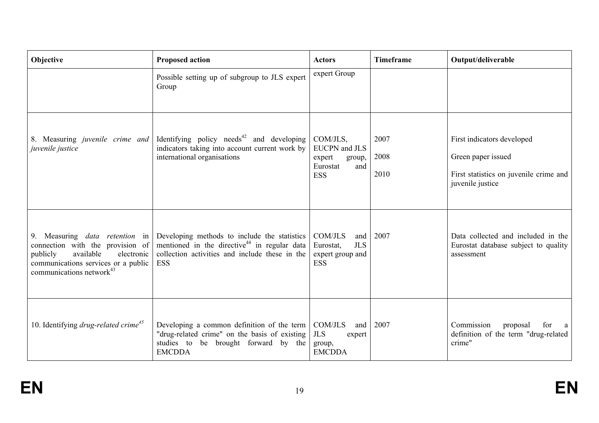| Objective                                                                                                                                                                              | <b>Proposed action</b>                                                                                                                                                   | <b>Actors</b>                                                                         | <b>Timeframe</b>     | Output/deliverable                                                                                             |
|----------------------------------------------------------------------------------------------------------------------------------------------------------------------------------------|--------------------------------------------------------------------------------------------------------------------------------------------------------------------------|---------------------------------------------------------------------------------------|----------------------|----------------------------------------------------------------------------------------------------------------|
|                                                                                                                                                                                        | Possible setting up of subgroup to JLS expert<br>Group                                                                                                                   | expert Group                                                                          |                      |                                                                                                                |
| 8. Measuring <i>juvenile crime and</i><br>juvenile justice                                                                                                                             | Identifying policy needs <sup>42</sup> and developing<br>indicators taking into account current work by<br>international organisations                                   | COM/JLS,<br><b>EUCPN</b> and JLS<br>expert<br>group,<br>Eurostat<br>and<br><b>ESS</b> | 2007<br>2008<br>2010 | First indicators developed<br>Green paper issued<br>First statistics on juvenile crime and<br>juvenile justice |
| 9. Measuring <i>data retention</i> in<br>connection with the provision of<br>available<br>electronic<br>publicly<br>communications services or a public<br>communications network $43$ | Developing methods to include the statistics<br>mentioned in the directive <sup>44</sup> in regular data<br>collection activities and include these in the<br><b>ESS</b> | <b>COM/JLS</b><br>and<br><b>JLS</b><br>Eurostat,<br>expert group and<br><b>ESS</b>    | 2007                 | Data collected and included in the<br>Eurostat database subject to quality<br>assessment                       |
| 10. Identifying <i>drug-related crime</i> <sup>45</sup>                                                                                                                                | Developing a common definition of the term<br>"drug-related crime" on the basis of existing<br>studies to<br>be brought forward by the<br><b>EMCDDA</b>                  | COM/JLS<br>and<br><b>JLS</b><br>expert<br>group,<br><b>EMCDDA</b>                     | 2007                 | Commission<br>proposal<br>for<br>definition of the term "drug-related<br>crime"                                |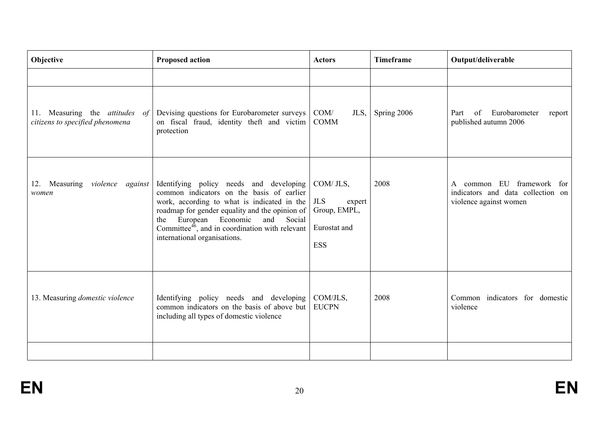| Objective                                                         | <b>Proposed action</b>                                                                                                                                                                                                                                                                                                         | <b>Actors</b>                                                                   | <b>Timeframe</b> | Output/deliverable                                                                          |
|-------------------------------------------------------------------|--------------------------------------------------------------------------------------------------------------------------------------------------------------------------------------------------------------------------------------------------------------------------------------------------------------------------------|---------------------------------------------------------------------------------|------------------|---------------------------------------------------------------------------------------------|
|                                                                   |                                                                                                                                                                                                                                                                                                                                |                                                                                 |                  |                                                                                             |
| 11. Measuring the attitudes of<br>citizens to specified phenomena | Devising questions for Eurobarometer surveys<br>on fiscal fraud, identity theft and victim<br>protection                                                                                                                                                                                                                       | COM/<br>JLS,<br><b>COMM</b>                                                     | Spring 2006      | Eurobarometer<br>of<br>Part<br>report<br>published autumn 2006                              |
| 12. Measuring violence against<br>women                           | Identifying policy needs and developing<br>common indicators on the basis of earlier<br>work, according to what is indicated in the<br>roadmap for gender equality and the opinion of<br>European Economic<br>and Social<br>the<br>Committee <sup>46</sup> , and in coordination with relevant<br>international organisations. | COM/ JLS,<br><b>JLS</b><br>expert<br>Group, EMPL,<br>Eurostat and<br><b>ESS</b> | 2008             | common EU framework for<br>A<br>indicators and data collection on<br>violence against women |
| 13. Measuring domestic violence                                   | Identifying policy needs and developing<br>common indicators on the basis of above but<br>including all types of domestic violence                                                                                                                                                                                             | COM/JLS,<br><b>EUCPN</b>                                                        | 2008             | Common indicators for domestic<br>violence                                                  |
|                                                                   |                                                                                                                                                                                                                                                                                                                                |                                                                                 |                  |                                                                                             |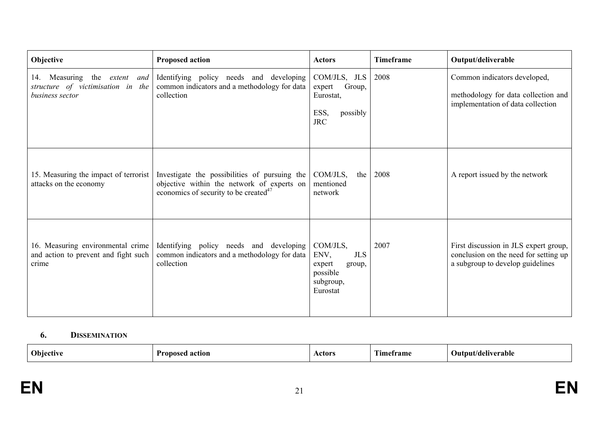| Objective                                                                                  | <b>Proposed action</b>                                                                                                                           | <b>Actors</b>                                                                           | Timeframe | Output/deliverable                                                                                                 |
|--------------------------------------------------------------------------------------------|--------------------------------------------------------------------------------------------------------------------------------------------------|-----------------------------------------------------------------------------------------|-----------|--------------------------------------------------------------------------------------------------------------------|
| 14. Measuring<br>the<br>extent and<br>structure of victimisation in the<br>business sector | Identifying policy needs and developing<br>common indicators and a methodology for data<br>collection                                            | COM/JLS, JLS<br>Group,<br>expert<br>Eurostat,<br>ESS,<br>possibly<br><b>JRC</b>         | 2008      | Common indicators developed,<br>methodology for data collection and<br>implementation of data collection           |
| 15. Measuring the impact of terrorist<br>attacks on the economy                            | Investigate the possibilities of pursuing the<br>objective within the network of experts on<br>economics of security to be created <sup>47</sup> | COM/JLS,<br>the<br>mentioned<br>network                                                 | 2008      | A report issued by the network                                                                                     |
| 16. Measuring environmental crime<br>and action to prevent and fight such<br>crime         | Identifying policy needs and developing<br>common indicators and a methodology for data<br>collection                                            | COM/JLS,<br>ENV,<br><b>JLS</b><br>expert<br>group,<br>possible<br>subgroup,<br>Eurostat | 2007      | First discussion in JLS expert group,<br>conclusion on the need for setting up<br>a subgroup to develop guidelines |

#### **6. DISSEMINATION**

| <b>Objective</b><br>D.<br>action<br>ronosea | Actor | <b>CONT</b><br>ame:<br>ım | Output/deliverable |
|---------------------------------------------|-------|---------------------------|--------------------|
|---------------------------------------------|-------|---------------------------|--------------------|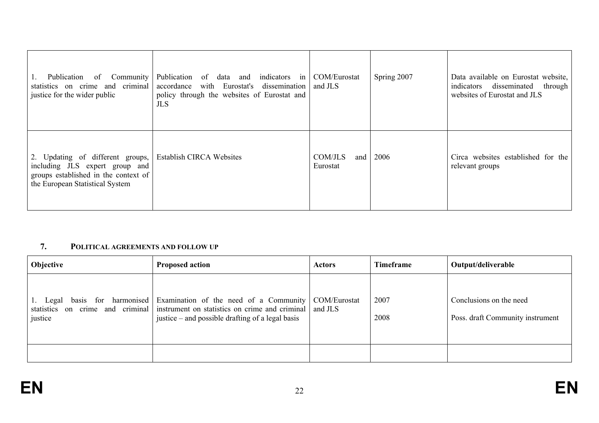| Publication<br>of Community<br>statistics on crime and criminal<br>justice for the wider public                                               | Publication of data and<br>indicators in COM/Eurostat<br>with Eurostat's dissemination and JLS<br>accordance<br>policy through the websites of Eurostat and<br>JLS. |                            | Spring 2007 | Data available on Eurostat website,<br>disseminated<br>through<br>indicators<br>websites of Eurostat and JLS |
|-----------------------------------------------------------------------------------------------------------------------------------------------|---------------------------------------------------------------------------------------------------------------------------------------------------------------------|----------------------------|-------------|--------------------------------------------------------------------------------------------------------------|
| 2. Updating of different groups,<br>including JLS expert group and<br>groups established in the context of<br>the European Statistical System | <b>Establish CIRCA Websites</b>                                                                                                                                     | COM/JLS<br>and<br>Eurostat | 2006        | Circa websites established for the<br>relevant groups                                                        |

#### **7. POLITICAL AGREEMENTS AND FOLLOW UP**

| Objective | <b>Proposed action</b>                                                                                                                                                                                                             | <b>Actors</b> | <b>Timeframe</b> | Output/deliverable                                          |
|-----------|------------------------------------------------------------------------------------------------------------------------------------------------------------------------------------------------------------------------------------|---------------|------------------|-------------------------------------------------------------|
| justice   | 1. Legal basis for harmonised Examination of the need of a Community COM/Eurostat<br>statistics on crime and criminal instrument on statistics on crime and criminal and JLS<br>justice $-$ and possible drafting of a legal basis |               | 2007<br>2008     | Conclusions on the need<br>Poss. draft Community instrument |
|           |                                                                                                                                                                                                                                    |               |                  |                                                             |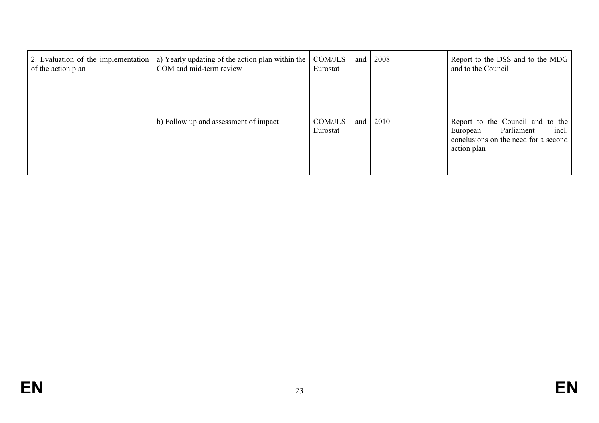| 2. Evaluation of the implementation<br>of the action plan | a) Yearly updating of the action plan within the<br>COM and mid-term review | COM/JLS<br>and<br>Eurostat   | 2008 | Report to the DSS and to the MDG<br>and to the Council                                                                     |
|-----------------------------------------------------------|-----------------------------------------------------------------------------|------------------------------|------|----------------------------------------------------------------------------------------------------------------------------|
|                                                           | b) Follow up and assessment of impact                                       | COM/JLS<br>and 1<br>Eurostat | 2010 | Report to the Council and to the<br>incl.<br>Parliament<br>European<br>conclusions on the need for a second<br>action plan |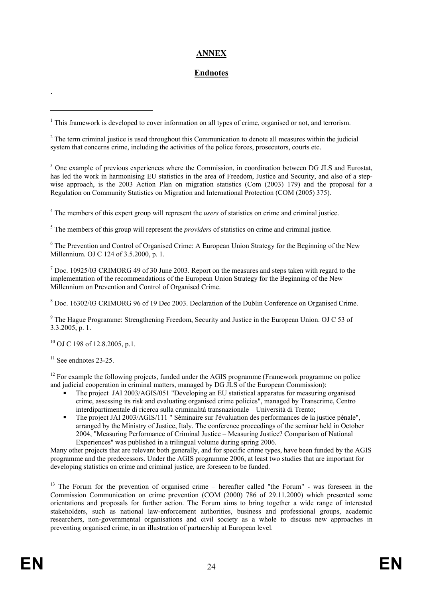# **ANNEX**

### **Endnotes**

<sup>4</sup> The members of this expert group will represent the *users* of statistics on crime and criminal justice.

<sup>5</sup> The members of this group will represent the *providers* of statistics on crime and criminal justice.

<sup>6</sup> The Prevention and Control of Organised Crime: A European Union Strategy for the Beginning of the New Millennium. OJ C 124 of 3.5.2000, p. 1.

<sup>7</sup> Doc. 10925/03 CRIMORG 49 of 30 June 2003. Report on the measures and steps taken with regard to the implementation of the recommendations of the European Union Strategy for the Beginning of the New Millennium on Prevention and Control of Organised Crime.

<sup>8</sup> Doc. 16302/03 CRIMORG 96 of 19 Dec 2003. Declaration of the Dublin Conference on Organised Crime.

<sup>9</sup> The Hague Programme: Strengthening Freedom, Security and Justice in the European Union. OJ C 53 of 3.3.2005, p. 1.

 $^{10}$  OJ C 198 of 12.8.2005, p.1.

 $11$  See endnotes 23-25.

.

1

<sup>12</sup> For example the following projects, funded under the AGIS programme (Framework programme on police and judicial cooperation in criminal matters, managed by DG JLS of the European Commission):

- The project JAI 2003/AGIS/051 "Developing an EU statistical apparatus for measuring organised crime, assessing its risk and evaluating organised crime policies", managed by Transcrime, Centro interdipartimentale di ricerca sulla criminalità transnazionale – Università di Trento;
- The project JAI 2003/AGIS/111 " Séminaire sur l'évaluation des performances de la justice pénale", arranged by the Ministry of Justice, Italy. The conference proceedings of the seminar held in October 2004, "Measuring Performance of Criminal Justice – Measuring Justice? Comparison of National Experiences" was published in a trilingual volume during spring 2006.

Many other projects that are relevant both generally, and for specific crime types, have been funded by the AGIS programme and the predecessors. Under the AGIS programme 2006, at least two studies that are important for developing statistics on crime and criminal justice, are foreseen to be funded.

<sup>13</sup> The Forum for the prevention of organised crime – hereafter called "the Forum" - was foreseen in the Commission Communication on crime prevention (COM (2000) 786 of 29.11.2000) which presented some orientations and proposals for further action. The Forum aims to bring together a wide range of interested stakeholders, such as national law-enforcement authorities, business and professional groups, academic researchers, non-governmental organisations and civil society as a whole to discuss new approaches in preventing organised crime, in an illustration of partnership at European level.

<sup>&</sup>lt;sup>1</sup> This framework is developed to cover information on all types of crime, organised or not, and terrorism.

 $2^2$  The term criminal justice is used throughout this Communication to denote all measures within the judicial system that concerns crime, including the activities of the police forces, prosecutors, courts etc.

<sup>&</sup>lt;sup>3</sup> One example of previous experiences where the Commission, in coordination between DG JLS and Eurostat, has led the work in harmonising EU statistics in the area of Freedom, Justice and Security, and also of a stepwise approach, is the 2003 Action Plan on migration statistics (Com (2003) 179) and the proposal for a Regulation on Community Statistics on Migration and International Protection (COM (2005) 375).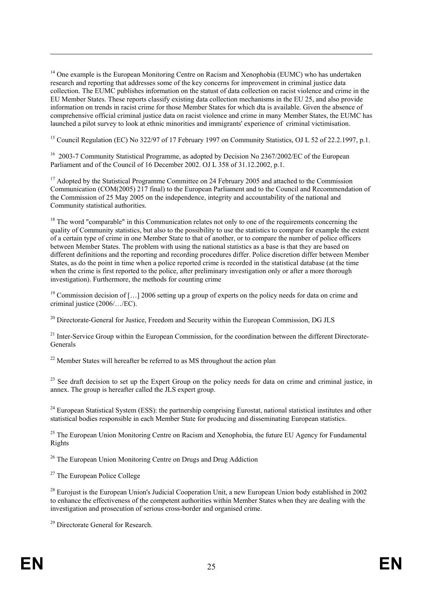<sup>14</sup> One example is the European Monitoring Centre on Racism and Xenophobia (EUMC) who has undertaken research and reporting that addresses some of the key concerns for improvement in criminal justice data collection. The EUMC publishes information on the statust of data collection on racist violence and crime in the EU Member States. These reports classify existing data collection mechanisms in the EU 25, and also provide information on trends in racist crime for those Member States for which dta is available. Given the absence of comprehensive official criminal justice data on racist violence and crime in many Member States, the EUMC has launched a pilot survey to look at ethnic minorities and immigrants' experience of criminal victimisation.

<sup>15</sup> Council Regulation (EC) No 322/97 of 17 February 1997 on Community Statistics, OJ L 52 of 22.2.1997, p.1.

<sup>16</sup> 2003-7 Community Statistical Programme, as adopted by Decision No 2367/2002/EC of the European Parliament and of the Council of 16 December 2002. OJ L 358 of 31.12.2002, p.1.

 $17$  Adopted by the Statistical Programme Committee on 24 February 2005 and attached to the Commission Communication (COM(2005) 217 final) to the European Parliament and to the Council and Recommendation of the Commission of 25 May 2005 on the independence, integrity and accountability of the national and Community statistical authorities.

<sup>18</sup> The word "comparable" in this Communication relates not only to one of the requirements concerning the quality of Community statistics, but also to the possibility to use the statistics to compare for example the extent of a certain type of crime in one Member State to that of another, or to compare the number of police officers between Member States. The problem with using the national statistics as a base is that they are based on different definitions and the reporting and recording procedures differ. Police discretion differ between Member States, as do the point in time when a police reported crime is recorded in the statistical database (at the time when the crime is first reported to the police, after preliminary investigation only or after a more thorough investigation). Furthermore, the methods for counting crime

<sup>19</sup> Commission decision of […] 2006 setting up a group of experts on the policy needs for data on crime and criminal justice (2006/…/EC).

 $^{20}$  Directorate-General for Justice, Freedom and Security within the European Commission, DG JLS

<sup>21</sup> Inter-Service Group within the European Commission, for the coordination between the different Directorate-Generals

 $22$  Member States will hereafter be referred to as MS throughout the action plan

<sup>23</sup> See draft decision to set up the Expert Group on the policy needs for data on crime and criminal justice, in annex. The group is hereafter called the JLS expert group.

 $^{24}$  European Statistical System (ESS): the partnership comprising Eurostat, national statistical institutes and other statistical bodies responsible in each Member State for producing and disseminating European statistics.

<sup>25</sup> The European Union Monitoring Centre on Racism and Xenophobia, the future EU Agency for Fundamental Rights

<sup>26</sup> The European Union Monitoring Centre on Drugs and Drug Addiction

<sup>27</sup> The European Police College

<sup>28</sup> Eurojust is the European Union's Judicial Cooperation Unit, a new European Union body established in 2002 to enhance the effectiveness of the competent authorities within Member States when they are dealing with the investigation and prosecution of serious cross-border and organised crime.

<sup>29</sup> Directorate General for Research.

1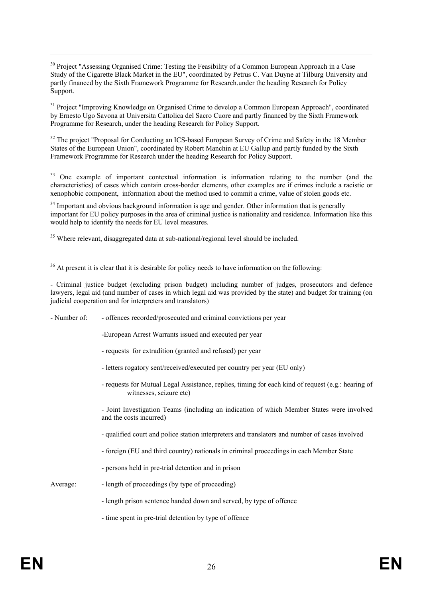<sup>30</sup> Project "Assessing Organised Crime: Testing the Feasibility of a Common European Approach in a Case Study of the Cigarette Black Market in the EU", coordinated by Petrus C. Van Duyne at Tilburg University and partly financed by the Sixth Framework Programme for Research.under the heading Research for Policy Support.

<sup>31</sup> Project "Improving Knowledge on Organised Crime to develop a Common European Approach", coordinated by Ernesto Ugo Savona at Universita Cattolica del Sacro Cuore and partly financed by the Sixth Framework Programme for Research, under the heading Research for Policy Support.

<sup>32</sup> The project "Proposal for Conducting an ICS-based European Survey of Crime and Safety in the 18 Member States of the European Union", coordinated by Robert Manchin at EU Gallup and partly funded by the Sixth Framework Programme for Research under the heading Research for Policy Support.

<sup>33</sup> One example of important contextual information is information relating to the number (and the characteristics) of cases which contain cross-border elements, other examples are if crimes include a racistic or xenophobic component, information about the method used to commit a crime, value of stolen goods etc.

<sup>34</sup> Important and obvious background information is age and gender. Other information that is generally important for EU policy purposes in the area of criminal justice is nationality and residence. Information like this would help to identify the needs for EU level measures.

<sup>35</sup> Where relevant, disaggregated data at sub-national/regional level should be included.

<sup>36</sup> At present it is clear that it is desirable for policy needs to have information on the following:

- Criminal justice budget (excluding prison budget) including number of judges, prosecutors and defence lawyers, legal aid (and number of cases in which legal aid was provided by the state) and budget for training (on judicial cooperation and for interpreters and translators)

- Number of: offences recorded/prosecuted and criminal convictions per year
	- -European Arrest Warrants issued and executed per year
	- requests for extradition (granted and refused) per year
	- letters rogatory sent/received/executed per country per year (EU only)
	- requests for Mutual Legal Assistance, replies, timing for each kind of request (e.g.: hearing of witnesses, seizure etc)

- Joint Investigation Teams (including an indication of which Member States were involved and the costs incurred)

- qualified court and police station interpreters and translators and number of cases involved
- foreign (EU and third country) nationals in criminal proceedings in each Member State
- persons held in pre-trial detention and in prison

1

- Average: length of proceedings (by type of proceeding)
	- length prison sentence handed down and served, by type of offence
	- time spent in pre-trial detention by type of offence